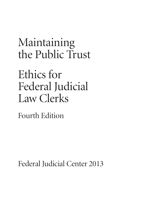Maintaining the Public Trust

Ethics for Federal Judicial Law Clerks

Fourth Edition

Federal Judicial Center 2013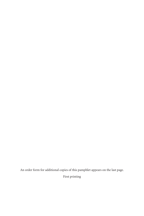An order form for additional copies of this pamphlet appears on the last page. First printing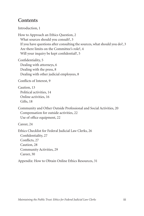## **Contents**

Introduction[, 1](#page-4-0)

How to Approach an Ethics Question[, 2](#page-5-0) What sources should you consult?, [3](#page-6-0) If you have questions after consulting the sources, what should you do?, [3](#page-6-0) Are there limits on the Committee's role?[, 4](#page-7-0) Will your inquiry be kept confidential[?, 5](#page-8-0)

Confidentiality[, 5](#page-8-0) Dealing with attorneys[, 6](#page-9-0) Dealing with the press[, 8](#page-11-0) Dealing with other judicial employees[, 8](#page-11-0)

Conflicts of Interest[, 9](#page-12-0)

Caution[, 13](#page-16-0) Political activities, [14](#page-17-0) Online activities, [16](#page-19-0) Gifts, [18](#page-21-0)

Community and Other Outside Professional and Social Activities[, 20](#page-23-0) Compensation for outside activities[, 22](#page-25-0) Use of office equipment, [22](#page-25-0)

Career, [24](#page-27-0)

Ethics Checklist for Federal Judicial Law Clerks[, 26](#page-29-0) Confidentiality[, 27](#page-30-0) Conflicts[, 27](#page-30-0) Caution, [28](#page-31-0) Community Activities, [29](#page-32-0) Career[, 30](#page-33-0)

Appendix: How to Obtain Online Ethics Resources, [31](#page-34-0)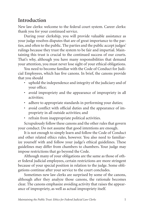# <span id="page-4-0"></span>**Introduction**

New law clerks: welcome to the federal court system. Career clerks: thank you for your continued service.

During your clerkship, you will provide valuable assistance as your judge resolves disputes that are of great importance to the parties, and often to the public. The parties and the public accept judges' rulings because they trust the system to be fair and impartial. Maintaining this trust is crucial to the continued success of our courts. That's why, although you have many responsibilities that demand your attention, you must never lose sight of your ethical obligations.

You need to become familiar with the Code of Conduct for Judicial Employees, which has five canons. In brief, the canons provide that you should

- uphold the independence and integrity of the judiciary and of your office;
- avoid impropriety and the appearance of impropriety in all activities;
- adhere to appropriate standards in performing your duties;
- avoid conflict with official duties and the appearance of impropriety in all outside activities; and
- refrain from inappropriate political activities.

Scrupulously follow these canons and the other rules that govern your conduct. Do not assume that good intentions are enough.

It is not enough to simply learn and follow the Code of Conduct and other related ethics rules, however. You also need to familiarize yourself with and follow your judge's ethical guidelines. These guidelines may differ from chambers to chambers. Your judge may impose restrictions that go beyond the Code.

Although many of your obligations are the same as those of other federal judicial employees, certain restrictions are more stringent because of your special position in relation to the judge. Some obligations continue after your service to the court concludes.

Sometimes new law clerks are surprised by some of the canons, although after they analyze those canons, the rationale becomes clear. The canons emphasize avoiding activity that raises the appearance of impropriety, as well as actual impropriety itself.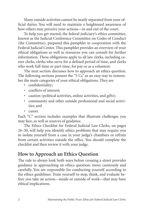<span id="page-5-0"></span>Many outside activities cannot be neatly separated from your official duties. You will need to maintain a heightened awareness of how others may perceive your actions—in and out of the court.

To help you get started, the federal judiciary's ethics committee, known as the Judicial Conference Committee on Codes of Conduct (the Committee), prepared this pamphlet in cooperation with the Federal Judicial Center. This pamphlet provides an overview of your ethical obligations as well as resources you can consult for further information. These obligations apply to all law clerks, including career clerks, clerks who serve for a defined period of time, and clerks who work full-time or part-time, for pay or as a volunteer.

The next section discusses how to approach an ethics question. The following sections present the "5 Cs" as an easy way to remember the main categories of your ethical obligations. They are

- confidentiality;
- conflicts of interest;
- caution (political activities, online activities, and gifts);
- community and other outside professional and social activities; and
- career.

Each "C" section includes examples that illustrate challenges you may face, as well as sources of guidance.

The Ethics Checklist for Federal Judicial Law Clerks, on pages 26–30, will help you identify ethics problems that may require you to isolate yourself from a case in your judge's chambers or refrain from certain activities outside the office. You should complete the checklist and then review it with your judge.

## **How to Approach an Ethics Question**

The rule to always look both ways before crossing a street provides guidance in approaching an ethics question: move cautiously and carefully. You are responsible for conducting yourself according to the ethics guidelines. Train yourself to stop, think, and evaluate before you take an action—inside or outside of work—that may have ethical implications.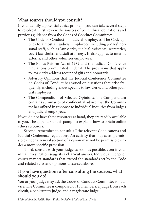## <span id="page-6-0"></span>**What sources should you consult?**

If you identify a potential ethics problem, you can take several steps to resolve it. First, review the sources of your ethical obligations and previous guidance from the Codes of Conduct Committee:

- The Code of Conduct for Judicial Employees. The Code applies to almost all judicial employees, including judges' personal staff, such as law clerks, judicial assistants, secretaries, court law clerks, and staff attorneys. It also applies to interns, externs, and other volunteer employees.
- The Ethics Reform Act of 1989 and the Judicial Conference regulations promulgated under it. The provisions that apply to law clerks address receipt of gifts and honoraria.
- Advisory Opinions that the Judicial Conference Committee on Codes of Conduct has issued on questions that arise frequently, including issues specific to law clerks and other judicial employees.
- The Compendium of Selected Opinions. The Compendium contains summaries of confidential advice that the Committee has offered in response to individual inquiries from judges and judicial employees.

If you do not have these resources at hand, they are readily available to you. The appendix to this pamphlet explains how to obtain online ethics resources.

Second, remember to consult *all* the relevant Code canons and Judicial Conference regulations. An activity that may seem permissible under a general section of a canon may not be permissible under a more specific provision.

Third, consult with your judge as soon as possible, even if your initial investigation suggests a clear-cut answer. Individual judges or courts may set standards that exceed the standards set by the Code and related rules and opinions discussed above.

### **If you have questions after consulting the sources, what should you do?**

You or your judge may ask the Codes of Conduct Committee for advice. The Committee is composed of 15 members: a judge from each circuit, a bankruptcy judge, and a magistrate judge.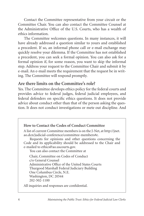<span id="page-7-0"></span>Contact the Committee representative from your circuit or the Committee Chair. You can also contact the Committee Counsel at the Administrative Office of the U.S. Courts, who has a wealth of ethics information.

The Committee welcomes questions. In many instances, it will have already addressed a question similar to yours and established a precedent. If so, an informal phone call or e-mail exchange may quickly resolve your dilemma. If the Committee has not established a precedent, you can seek a formal opinion. You can also ask for a formal opinion if, for some reason, you want to skip the informal step. Address your request to the Committee Chair and submit it by e-mail. An e-mail meets the requirement that the request be in writing. The Committee will respond promptly.

### **Are there limits on the Committee's role?**

Yes. The Committee develops ethics policy for the federal courts and provides advice to federal judges, federal judicial employees, and federal defenders on specific ethics questions. It does not provide advice about conduct other than that of the person asking the question. It does not conduct investigations or mete out discipline. And



A list of current Committee members is on the J-Net, at http://jnet. ao.dcn/judicial-conference/committee-members#e.

Requests for opinions and other questions concerning the Code and its applicability should be addressed to the Chair and e-mailed to ethics@ao.uscourts.gov.

You can also contact the Committee at

Chair, Committee on Codes of Conduct c/o General Counsel Administrative Office of the United States Courts Thurgood Marshall Federal Judiciary Building One Columbus Circle, N.E. Washington, DC 20544 202-502-1100

All inquiries and responses are confidential.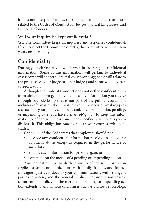<span id="page-8-0"></span>it does not interpret statutes, rules, or regulations other than those related to the Codes of Conduct for Judges, Judicial Employees, and Federal Defenders.

## **Will your inquiry be kept confidential?**

Yes. The Committee keeps all inquiries and responses confidential. If you contact the Committee directly, the Committee will maintain your confidentiality.

# **Confidentiality**

During your clerkship, you will learn a broad range of confidential information. Some of this information will pertain to individual cases; some will concern internal court workings; some will relate to the practices of your judge or other judges; and some will defy easy categorization.

Although the Code of Conduct does not define confidential information, the term generally includes any information you receive through your clerkship that is not part of the public record. This includes information about past cases and the decision-making process used by your judge, chambers, and/or court in a prior, pending, or impending case. You have a *strict obligation* to keep this information confidential, unless your judge specifically authorizes you to disclose it. This obligation *continues* after your court service concludes.

Canon 3D of the Code states that employees should not

- disclose any confidential information received in the course of official duties except as required in the performance of such duties;
- employ such information for personal gain; or
- comment on the merits of a pending or impending action.

Your obligation not to disclose any confidential information applies to your communications with family, friends, and former colleagues, just as it does to your communications with strangers, parties to a case, and the general public. The prohibition against commenting publicly on the merits of a pending or impending action extends to anonymous disclosures, such as disclosures on blogs.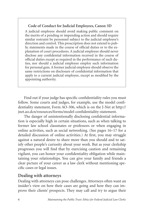### <span id="page-9-0"></span>**Code of Conduct for Judicial Employees, Canon 3D**

A judicial employee should avoid making public comment on the merits of a pending or impending action and should require similar restraint by personnel subject to the judicial employee's direction and control. This proscription does not extend to public statements made in the course of official duties or to the explanation of court procedures. A judicial employee should never disclose any confidential information received in the course of official duties except as required in the performance of such duties, nor should a judicial employee employ such information for personal gain. A former judicial employee should observe the same restrictions on disclosure of confidential information that apply to a current judicial employee, except as modified by the appointing authority.

Find out if your judge has specific confidentiality rules you must follow. Some courts and judges, for example, use the model confidentiality statement, Form AO-306, which is on the J-Net at http:// jnet.ao.dcn/resources/forms/model-confidentiality-statement.

The danger of unintentionally disclosing confidential information is especially high in certain situations, such as when talking to former law school classmates or professors or when engaging in online activities, such as social networking. (See pages 16–17 for a detailed discussion of online activities.) At first, you may struggle against a natural desire to share more than you should and to satisfy other people's curiosity about your work. But as your clerkship progresses you will find that by exercising caution and remaining vigilant, you can honor your confidentiality obligation while maintaining your relationships. You can give your family and friends a clear picture of your career as a law clerk without mentioning specific cases or legal issues.

### **Dealing with attorneys**

Dealing with attorneys can pose challenges. Attorneys often want an insider's view on how their cases are going and how they can improve their clients' prospects. They may call and try to argue their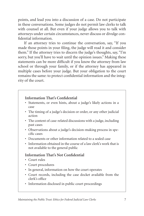points, and lead you into a discussion of a case. Do not participate in these conversations. Some judges do not permit law clerks to talk with counsel at all. But even if your judge allows you to talk with attorneys under certain circumstances, never discuss or divulge confidential information.

If an attorney tries to continue the conversation, say, "If you made those points in your filing, the judge will read it and consider them." If the attorney tries to discern the judge's thoughts, say, "I'm sorry, but you'll have to wait until the opinion issues." Making these statements can be more difficult if you know the attorney from law school or through your family, or if the attorney has appeared in multiple cases before your judge. But your obligation to the court remains the same: to protect confidential information and the integrity of the court.

### **Information That's Confidential**

- Statements, or even hints, about a judge's likely actions in a case
- The timing of a judge's decision or order, or any other judicial action
- The content of case-related discussions with a judge, including past cases
- Observations about a judge's decision-making process in specific cases
- Documents or other information related to a sealed case
- Information obtained in the course of a law clerk's work that is not available to the general public

### **Information That's Not Confidential**

- Court rules
- Court procedures
- In general, information on how the court operates
- Court records, including the case docket available from the clerk's office
- Information disclosed in public court proceedings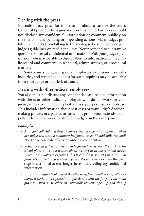## <span id="page-11-0"></span>**Dealing with the press**

Journalists may press for information about a case or the court. Canon 3D provides firm guidance on this point: law clerks should not disclose any confidential information or comment publicly on the merits of any pending or impending actions. Many judges prohibit their clerks from talking to the media, so be sure to check your judge's guidelines on media inquiries. Never respond to substantive questions or reveal confidential information. With your judge's permission, you may be able to direct callers to information in the public record and comment on technical, administrative, or procedural matters.

Some courts designate specific employees to respond to media inquiries, and written guidelines for such inquiries may be available from your judge or the clerk of court.

## **Dealing with other judicial employees**

You also must not discuss any confidential case-related information with clerks or other judicial employees who do not work for your judge, unless your judge explicitly gives you permission to do so. This includes information about past cases or your judge's decisionmaking process in a particular case. This prohibition extends to appellate clerks who work for different judges on the same panel.

### *Examples*

- *• A litigant calls Julia, a district court clerk, seeking information on when her judge will issue a summary judgment order. Should Julia respond?*  No. The release date of specific orders is confidential.
- *• Roberto's college friend now attends journalism school. For a class, his friend plans to write a feature about recidivism in the criminal justice system. May Roberto explain to his friend the basic steps in a criminal prosecution, trial, and sentencing?* Yes. Roberto may explain the basic steps in a criminal case, as long as he avoids revealing any confidential information.
- *• Prior to a nonjury trial, one of the attorneys, from another city, calls Anthony, a clerk, to ask procedural questions about the judge's courtroom practices, such as whether she generally requests opening and closing*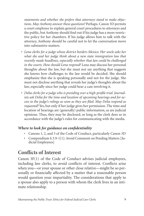<span id="page-12-0"></span>*statements and whether she prefers that attorneys stand to make objections. May Anthony answer these questions?* Perhaps. Canon 3D permits a court employee to explain general court procedures to attorneys and the public, but Anthony should find out if his judge has a more restrictive policy for her chambers. If his judge allows him to talk with the attorney, Anthony should be careful not to let the conversation move into substantive matters.

- Lena clerks for a judge whose district borders Mexico. Her uncle asks her *what she and her judge think about a new state immigration law that recently made headlines, especially whether that law could be challenged in the courts. How should Lena respond?* Lena may discuss her personal thoughts about the law, but she must not say anything that suggests she knows how challenges to the law would be decided. She should emphasize that she is speaking personally and not for the judge. She must not disclose anything that reveals her judge's thoughts about the law, especially since her judge could hear a case involving it.
- *• Delia clerks for a judge who is presiding over a high-profile trial. Journalists ask Delia for the time and location of upcoming hearings and for access to the judge's rulings as soon as they are filed. May Delia respond as requested?* Yes, but only if her judge gives her permission. The time and location of hearings are (generally) public information, as are judicial opinions. Thus, they may be disclosed, so long as the clerk does so in accordance with the judge's rules for communicating with the media.

### *Where to look for guidance on confidentiality*

- Canons 1, 2, and 3 of the Code of Conduct, particularly Canon 3D
- Compendium § 3.9-1[1]: Avoid Comment on Pending Matters [Judicial Employees]

## **Conflicts of Interest**

Canon 3F(1) of the Code of Conduct advises judicial employees, including law clerks, to avoid conflicts of interest. Conflicts arise when you—or your spouse or other close relative—might be so personally or financially affected by a matter that a reasonable person would question your impartiality. The considerations that apply to a spouse also apply to a person with whom the clerk lives in an intimate relationship.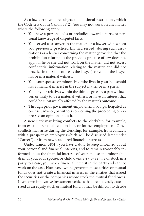As a law clerk, you are subject to additional restrictions, which the Code sets out in Canon 3F(2). You may not work on any matter where the following apply.

- You have a personal bias or prejudice toward a party, or personal knowledge of disputed facts.
- You served as a lawyer in the matter, or a lawyer with whom you previously practiced law had served (during such association) as a lawyer concerning the matter (provided that the prohibition relating to the previous practice of law does not apply if he or she did not work on the matter, did not access confidential information relating to the matter, and did not practice in the same office as the lawyer), or you or the lawyer has been a material witness.
- You, your spouse, or minor child who lives in your household has a financial interest in the subject matter or in a party.
- You or your relatives within the third degree are a party, a lawyer, or likely to be a material witness, or have an interest that could be substantially affected by the matter's outcome.
- Through prior government employment, you participated as counsel, advisor, or witness concerning the proceeding or expressed an opinion about it.

A new clerk may bring conflicts to the clerkship, for example, from existing personal relationships or former employment. Other conflicts may arise during the clerkship, for example, from contacts with a prospective employer (which will be discussed later under "Career") or from newly acquired financial interests.

Under Canon 3F(4), you have a duty to keep informed about your personal and financial interests, and to remain reasonably informed about the financial interests of your spouse and minor children. If you, your spouse, or child owns *even one share* of stock in a party to a case, you have a financial interest in the party and cannot work on the case. However, owning government securities or mutual funds does not create a financial interest in the entities that issued the securities or the companies whose stock the mutual fund owns. If you own innovative investment vehicles that are not easily categorized as an equity stock or mutual fund, it may be difficult to decide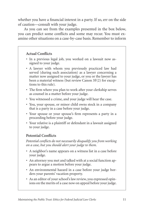whether you have a financial interest in a party. If so, err on the side of caution—consult with your judge.

As you can see from the examples presented in the box below, you can predict some conflicts and some may recur. You must examine other situations on a case-by-case basis. Remember to inform

### **Actual Conflicts**

- In a previous legal job, you worked on a lawsuit now assigned to your judge.
- A lawyer with whom you previously practiced law had served (during such association) as a lawyer concerning a matter now assigned to your judge, or you or the lawyer has been a material witness (but review Canon 3F(2) for exceptions to this rule).
- The firm where you plan to work after your clerkship serves as counsel in a matter before your judge.
- You witnessed a crime, and your judge will hear the case.
- You, your spouse, or minor child owns stock in a company that is a party in a case before your judge.
- Your spouse or your spouse's firm represents a party in a proceeding before your judge.
- Your relative is a plaintiff or defendant in a lawsuit assigned to your judge.

### **Potential Conflicts**

*Potential conflicts do not necessarily disqualify you from working on a case, but you should alert your judge to them.*

- A neighbor's name appears on a witness list in a case before your judge.
- An attorney you met and talked with at a social function appears to argue a motion before your judge.
- An environmental hazard in a case before your judge borders your parents' vacation property.
- As an editor of your school's law review, you expressed opinions on the merits of a case now on appeal before your judge.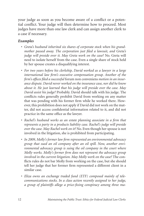your judge as soon as you become aware of a conflict or a potential conflict. Your judge will then determine how to proceed. Most judges have more than one law clerk and can assign another clerk to a case if necessary.

#### *Examples*

- *Greta's husband inherited six shares of corporate stock when his grandmother passed away. The corporation just filed a lawsuit, and Greta's judge will preside over it. May Greta work on the case?* No. Greta will need to isolate herself from the case. Even a single share of stock held by her spouse creates a disqualifying interest.
- *For two years before his clerkship, David worked as a lawyer in a large international law firm's executive compensation group. Another of the firm's offices filed a successful* forum non conveniens *motion in an insurance dispute. David never worked on the insurance case, nor did he know about it. He just learned that his judge will preside over the case. May David assist his judge?* Probably. David should talk with his judge. The conflicts rules generally prohibit David from working on any matter that was pending with his former firm while he worked there. However, this prohibition does not apply if David did not work on the matter, did not access confidential information related to it, and did not practice in the same office as the lawyer.
- *Rachel's husband works as an estate planning associate in a firm that represents a party in a products liability case. Rachel's judge will preside over the case. May Rachel work on it?* No. Even though her spouse is not involved in the litigation, she is prohibited from participating.
- *In 2009, Molly's former law firm represented an environmental advocacy group that sued an oil company after an oil spill. Now, another environmental advocacy group is suing the oil company in the court where Molly works. Molly's former firm does not represent the advocacy group involved in the current litigation. May Molly work on the case?* The conflicts rules do not bar Molly from working on the case, but she should tell her judge that her former firm represented a different client in a similar case.
- *Eliza owns an exchange traded fund (ETF) composed mainly of telecommunications stocks. In a class action recently assigned to her judge, a group of plaintiffs allege a price-fixing conspiracy among three ma-*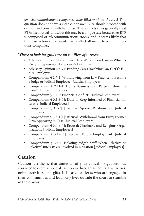<span id="page-16-0"></span>*jor telecommunications companies. May Eliza work on the case?* This question does not have a clear-cut answer. Eliza should proceed with caution and consult with her judge. The conflicts rules generally treat ETFs like mutual funds, but this may be a unique case because her ETF is composed of telecommunications stocks, and it seems likely that this class action could substantially affect all major telecommunications companies.

### *Where to look for guidance on conflicts of interest*

- Advisory Opinion No. 51: Law Clerk Working on Case in Which a Party Is Represented by Spouse's Law Firm
- Advisory Opinion No. 74: Pending Cases Involving Law Clerk's Future Employer
- Compendium § 2.7-1: Withdrawing from Law Practice to Become a Judge or Judicial Employee [Judicial Employees]
- Compendium § 2.11-1: Doing Business with Parties Before the Court [Judicial Employees]
- Compendium § 3.1-8: Financial Conflicts [Judicial Employees]
- Compendium § 3.1-9[1]: Duty to Keep Informed of Financial Interests [Judicial Employees]
- Compendium § 3.2-2[1]: Recusal: Spousal Relationships [Judicial Employees]
- Compendium § 3.3-1[1]: Recusal: Withdrawal from Firm; Former Firm Appearing in Case [Judicial Employees]
- Compendium § 3.4-6[1]: Recusal: Charitable and Religious Organizations [Judicial Employees]
- Compendium § 3.4-7[1]: Recusal: Future Employment [Judicial Employees]
- Compendium § 3.5-1: Isolating Judge's Staff When Relatives or Relatives' Interests are Involved in Litigation [Judicial Employees]

# **Caution**

Caution is a theme that unites all of your ethical obligations, but you need to exercise special caution in three areas: political activities, online activities, and gifts. It is easy for clerks who are engaged in their communities and lead busy lives outside the court to stumble in these areas.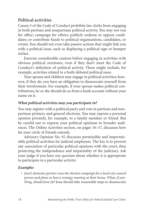## <span id="page-17-0"></span>**Political activities**

Canon 5 of the Code of Conduct prohibits law clerks from engaging in both partisan and nonpartisan political activity. You may not run for office; campaign for others; publicly endorse or oppose candidates; or contribute funds to political organizations, candidates, or events. You should not even take passive actions that might link you with a political issue, such as displaying a political sign or bumper sticker.

Exercise considerable caution before engaging in activities with obvious political overtones, even if they don't meet the Code of Conduct's definition of political activity. These might include, for example, activities related to a hotly debated political issue.

Your spouse and children may engage in political activities; however, if they do, you have an obligation to disassociate yourself from their involvement. For example, if your spouse makes political contributions, he or she should do so from a bank account without your name on it.

### *What political activities may you participate in?*

You may register with a political party and vote in partisan and nonpartisan primary and general elections. You may express a personal opinion privately, for example, to a family member or friend. But be careful not to express your political opinions to broader audiences. The Online Activities section, on pages 16–17, discusses how far your circle of friends extends.

Advisory Opinion No. 92 discusses permissible and impermissible political activities for judicial employees. The key is to prevent any association of particular political opinions with the court, thus protecting the independence and impartiality of the judiciary. Ask your judge if you have *any question* about whether it is appropriate to participate in a particular activity.

### *Examples*

• *Jesse's domestic partner runs the election campaign for a local city council person and plans to host a strategy meeting at their house. What, if anything, should Jesse do?* Jesse should take reasonable steps to disassociate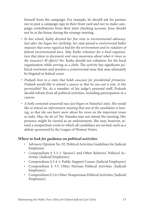himself from the campaign. For example, he should ask his partner not to post a campaign sign in their front yard and not to make campaign contributions from their joint checking account. Jesse should not be at the house during the strategy meeting.

- *In law school, Kathy devoted her free time to environmental advocacy. Just after she began her clerkship, her state passed a controversial ballot measure that some regard as bad for the environment and in violation of federal environmental laws. May Kathy volunteer for a local organization that plans to document and raise awareness about what it views as the measure's ill effects?* No. Kathy should not volunteer for the local organization while serving as a clerk. The activity has significant political overtones and involves a controversial issue that may ultimately be litigated in federal court.
- *Prakash lives in a state that holds caucuses for presidential primaries. Prakash would like to attend a caucus so that he can cast a vote. Is this permissible?* No. As a member of his judge's personal staff, Prakash should refrain from all political activities, including participation in a caucus.
- *A hotly contested senatorial race just began in Natasha's state. She would like to attend an information meeting that one of the candidates is hosting, so that she can learn more about his views on the important issues at stake. May she do so?* No. Natasha may not attend the meeting. Her presence might be viewed as an endorsement. She may, however, attend a nonpartisan event to which all candidates are invited, such as a debate sponsored by the League of Women Voters.

#### *Where to look for guidance on political activities*

- Advisory Opinion No. 92: Political Activities Guidelines for Judicial Employees
- Compendium § 5.3-1: Spouse's and Other Relatives' Political Activities [Judicial Employees]
- Compendium § 5.4-1: Public Support Causes [Judicial Employees]
- Compendium § 5.5: Other Partisan Political Activities [Judicial Employees]
- Compendium § 5.6: Other Nonpartisan Political Activities [Judicial] Employees]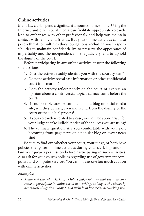## <span id="page-19-0"></span>**Online activities**

Many law clerks spend a significant amount of time online. Using the Internet and other social media can facilitate appropriate research, lead to exchanges with other professionals, and help you maintain contact with family and friends. But your online activities can also pose a threat to multiple ethical obligations, including your responsibilities to maintain confidentiality, to preserve the appearance of impartiality and the independence of the judiciary, and to uphold the dignity of the court.

Before participating in any online activity, answer the following six questions:

- 1. Does the activity readily identify you with the court system?
- 2. Does the activity reveal case information or other confidential court information?
- 3. Does the activity reflect poorly on the court or express an opinion about a controversial topic that may come before the court?
- 4. If you post pictures or comments on a blog or social media site, will they detract, even indirectly, from the dignity of the court or the judicial process?
- 5. If your research is related to a case, would it be appropriate for your judge to take judicial notice of the sources you are using?
- 6. The ultimate question: Are you comfortable with your post becoming front-page news on a popular blog or lawyer news site?

Be sure to find out whether your court, your judge, or both have policies that govern online activities during your clerkship, and obtain your judge's permission before participating in such activities. Also ask for your court's policies regarding use of government computers and computer services. You cannot exercise too much caution with online activities.

### *Examples*

• *Malia just started a clerkship. Malia's judge told her that she may continue to participate in online social networking, as long as she abides by her ethical obligations. May Malia include in her social networking pro-*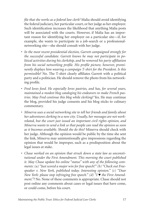*file that she works as a federal law clerk?* Malia should avoid identifying the federal judiciary, her particular court, or her judge as her employer. Such identification increases the likelihood that anything Malia posts will be associated with the courts. However, if Malia has an important reason for identifying her employer on a particular site—if, for example, she wants to participate in a job-search or a professionalnetworking site—she should consult with her judge.

- *In the most recent presidential election, Garrett campaigned strongly for the successful candidate. Garrett knows he may not participate in political activities during his clerkship, and he removed his party affiliation from his social networking profile. His profile picture, however, prominently displays him wearing a campaign T-shirt for the President. Is this permissible?* No. The T-shirt clearly affiliates Garrett with a political party and a politician. He should remove the photo from his networking profile.
- *Fred loves food. He especially loves pastries, and has, for several years, maintained a modest blog cataloging his endeavors to make French pastries. May Fred continue this blog while clerking?* Yes. He may continue the blog, provided his judge consents and his blog sticks to culinary commentary.
- *Minerva uses a social networking site to tell her friends and family about her adventures clerking in a new city. Usually, her messages are not workrelated, but the court just issued an important civil rights opinion, and Minerva wants to send a link so that people can read the opinion as soon as it becomes available. Should she do this?* Minerva should check with her judge. Although the opinion would be public by the time she sent the link, Minerva may unintentionally give impressions regarding the opinion that would be improper, such as a predisposition about the legal issues at stake.
- *Chase worked on an opinion that struck down a state law as unconstitutional under the First Amendment. This morning the court published it. May Chase update his online "status" with any of the following comments: (a) "Just scored a major win for free speech!" (b) "Check out Freespeaker v. New York, published today. Interesting opinion." (c) "Dear New York: please stop infringing free speech." (d) "I ♥ the First Amendment."?* No. None of these comments is appropriate. Chase should not post online any comments about cases or legal issues that have come, or could come, before his court.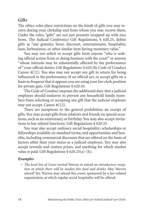### <span id="page-21-0"></span>**Gifts**

The ethics rules place restrictions on the kinds of gifts you may receive during your clerkship and from whom you may receive them. Under the rules, "gifts" are not just presents wrapped up with nice bows. The Judicial Conference Gift Regulations, § 620.25, define gifts as "any gratuity, favor, discount, entertainment, hospitality, loan, forbearance, or other similar item having monetary value."

You may not solicit or accept gifts from anyone "who is seeking official action from or doing business with the court" or anyone "whose interests may be substantially affected by the performance of" your official duties. Gift Regulations § 620.30; Code of Conduct Canon 4C(2). You also may not accept any gift in return for being influenced in the performance of an official act, or accept gifts on a basis so frequent that it appears you are using your law clerk position for private gain. Gift Regulations § 620.45.

The Code of Conduct imposes the additional duty that a judicial employee should endeavor to prevent any household family members from soliciting or accepting any gift that the judicial employee may not accept. Canon 4C(2).

There are exceptions to the general prohibition on receipt of gifts. You may accept gifts from relatives and friends on special occasions, such as an anniversary or birthday. You may also accept invitations to bar-related functions. Gift Regulations § 620.35.

You may also accept ordinary social hospitality; scholarships or fellowships available on standard terms; and opportunities and benefits, including commercial discounts that are offered on the basis of factors other than your status as a judicial employee. You may also accept rewards and contest prizes, and anything for which market value is paid. Gift Regulations  $\S$  620.25(a)–(h).

### *Examples*

• *The local Inn of Court invited Warren to attend an introductory reception at which there will be modest free food and drinks. May Warren attend?* Yes. Warren may attend this event, sponsored by a law-related organization, at which regular social hospitality will be offered.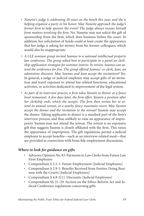- *Nanette's judge is celebrating 20 years on the bench this year, and she is helping organize a party in his honor. May Nanette approach the judge's former firm to help sponsor the event? The judge always recuses himself from matters involving the firm.* No. Nanette may not solicit the gift of sponsorship from the firm, which does business before the court. In addition, her solicitation of funds could at least create the appearance that her judge is asking for money from his former colleagues, which would also be inappropriate.
- *A CLE seminar group invited Seamus to a national intellectual property law conference. The group asked him to participate in a panel on clerkship application strategies for summer interns. In return, Seamus can attend the conference for free. The group offered Seamus' co-clerk, Jean, an admissions discount. May Seamus and Jean accept the invitations?* Yes. In general, a judge or judicial employee may accept gifts of an invitation and travel expenses to attend bar-related functions, educational activities, or activities dedicated to improvement of the legal system.
- *As part of its interview process, a firm takes Yasmin to dinner at a fancy local restaurant. A few days later, the firm offers Yasmin a position after her clerkship ends, which she accepts. The firm then invites her to attend its annual retreat, at a nearby fancy mountain resort. May Yasmin accept the dinner and the invitation to the retreat?* Yasmin may accept the dinner. Taking applicants to dinner is a standard part of the firm's interview process, and thus unlikely to raise an appearance of impropriety. Yasmin may not attend the retreat. The retreat is an expensive gift that suggests Yasmin is closely affiliated with the firm. This raises the appearance of impropriety. The gift regulations permit a judicial employee to accept benefits—such as an interview-related meal—that are provided in connection with bona fide employment discussions.

### *Where to look for guidance on gifts*

- Advisory Opinion No. 83: Payments to Law Clerks from Future Law Firm Employers
- Compendium § 2.5-1: Future Employment [Judicial Employees]
- Compendium § 2.9-1: Benefits Received from Entities Doing Business with the Courts [Judicial Employees]
- Compendium § 4.8-5[1]: Discounts [Judicial Employees]
- Compendium §§ 21–29: Section on the Ethics Reform Act and Judicial Conference regulations concerning gifts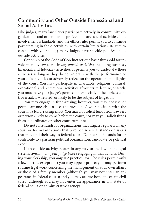## <span id="page-23-0"></span>**Community and Other Outside Professional and Social Activities**

Like judges, many law clerks participate actively in community organizations and other outside professional and social activities. This involvement is laudable, and the ethics rules permit you to continue participating in these activities, with certain limitations. Be sure to consult with your judge; many judges have specific policies about outside activities.

Canon 4A of the Code of Conduct sets the basic threshold for involvement by law clerks in *any outside activities*, including business, financial, and fiduciary activities. It permits you to undertake these activities as long as they do not interfere with the performance of your official duties or adversely reflect on the operation and dignity of the court. You may participate in charitable, religious, cultural, avocational, and recreational activities. If you write, lecture, or teach, you must have your judge's permission, especially if the topic is controversial, law-related, or likely to be the subject of litigation.

You may engage in fund-raising; however, you may not use, or permit anyone else to use, the prestige of your position with the court in a fund-raising effort. You may not solicit funds from lawyers or persons likely to come before the court, nor may you solicit funds from subordinates or other court personnel.

Do not raise funds for organizations that litigate regularly in any court or for organizations that take controversial stands on issues that may find their way to federal court. Do not solicit funds for or contribute to a partisan political organization, candidate, or political event.

If an outside activity relates in any way to the law or the legal system, *consult with your judge before* engaging in that activity. During your clerkship, you *may not* practice law. The rules permit only a few narrow exceptions: you may appear pro se; you may perform routine legal work concerning the management of your own affairs or those of a family member (although you may not enter an appearance in federal court); and you may act pro bono in certain civil cases (although you may not enter an appearance in any state or federal court or administrative agency).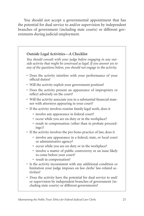You should not accept a governmental appointment that has the potential for dual service to and/or supervision by independent branches of government (including state courts) or different governments during judicial employment.

### **Outside Legal Activities—A Checklist**

*You should consult with your judge before engaging in any outside activity that might be construed as legal. If you answer yes to any of the questions below, you should not engage in the activity.* 

- Does the activity interfere with your performance of your official duties?
- Will the activity exploit your government position?
- Does the activity present an appearance of impropriety or reflect adversely on the court?
- Will the activity associate you in a substantial financial manner with attorneys appearing in your court?
- If the activity involves routine family legal work, does it
	- involve any appearance in federal court?
	- occur while you are on duty or in the workplace?
	- result in compensation (other than in probate proceedings)?
- If the activity involves the pro bono practice of law, does it
	- involve any appearance in a federal, state, or local court or administrative agency?
	- occur while you are on duty or in the workplace?
	- involve a matter of public controversy or an issue likely to come before your court?
	- result in compensation?
- Is the activity inconsistent with any additional condition or limitation your judge imposes on law clerks' law-related activities?
- Does the activity have the potential for dual service to and/ or supervision by independent branches of government (including state courts) or different governments?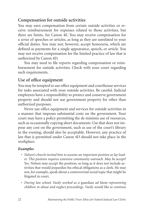### <span id="page-25-0"></span>**Compensation for outside activities**

You may earn compensation from certain outside activities or receive reimbursement for expenses related to those activities, but there are limits. *See* Canon 4E. You may receive compensation for a *series* of speeches or articles, as long as they are unrelated to your official duties. You may not, however, accept honoraria, which are defined as payments for a single appearance, speech, or article. You may not receive compensation for the limited practice of law that is authorized by Canon 4D.

You may need to file reports regarding compensation or reimbursement for outside activities. Check with your court regarding such requirements.

### **Use of office equipment**

You may be tempted to use office equipment and courthouse services for tasks associated with your outside activities. Be careful. Judicial employees have a responsibility to protect and conserve government property and should not use government property for other than authorized purposes.

Never use office equipment and services for outside activities in a manner that imposes substantial costs on the government. Your court may have a policy permitting the de minimis use of resources, such as occasionally copying short documents. Use that does not impose any cost on the government, such as use of the court's library in the evening, should also be acceptable. However, any practice of law that is permitted under Canon 4D should not take place in the workplace.

### *Examples*

- *Nelson's church invited him to assume an important position as lay leader. This position requires extensive community outreach. May he accept?*  Yes. Nelson may accept the position, so long as it does not include activities that would jeopardize his ethical obligations as a clerk. He may not, for example, speak about a controversial social topic that might be litigated in court.
- *During law school, Vasily worked as a* guardian ad litem *representing children in abuse and neglect proceedings. Vasily would like to continue*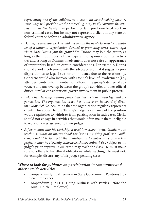*representing one of the children, in a case with heartbreaking facts. A state judge will preside over the proceeding. May Vasily continue the representation?* No. Vasily may perform certain pro bono legal work in non-criminal cases, but he may not represent a client in any state or federal court or before an administrative agency.

- *Donna, a career law clerk, would like to join the newly formed local chapter of a national organization devoted to promoting conservative legal views. May Donna join the group?* Yes. Donna may join the group, as long as the group does not participate in or sponsor political activities and as long as Donna's involvement does not raise an appearance of impropriety based on certain considerations. For example, Donna should avoid involvement with the advocacy group if it suggests a predisposition as to legal issues or an influence due to the relationship. Concerns would also increase with Donna's level of involvement (i.e., attendee, contributor, member, or officer); the group's degree of advocacy; and any overlap between the group's activities and her official duties. Similar considerations govern involvement in public protests.
- *Before her clerkship, Tammy participated actively in a local legal aid organization. The organization asked her to serve on its board of directors. May she?* No. Assuming that the organization regularly represents clients who appear before Tammy's judge, acceptance of the position would require her to withdraw from participation in such cases. Clerks should not engage in activities that would often make them ineligible to work on cases assigned to their judges.
- *A few months into his clerkship, a local law school invites Guillermo to teach a seminar on international tax law as a visiting professor. Guillermo would like to accept the invitation, as he hopes to become a law professor after his clerkship. May he teach the seminar?* Yes. Subject to his judge's prior approval, Guillermo may teach the class. He must make sure to adhere to his ethical obligations while teaching. He must not, for example, discuss any of his judge's pending cases.

#### *Where to look for guidance on participation in community and other outside activities*

- Compendium § 1.3-1: Service in State Government Positions [Judicial Employees]
- Compendium § 2.11-1: Doing Business with Parties Before the Court [Judicial Employees]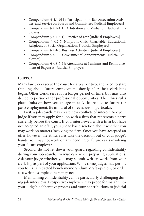- <span id="page-27-0"></span>• Compendium § 4.1-3[4]: Participation in Bar Association Activities, and Service on Boards and Committees [Judicial Employees]
- Compendium § 4.1-4[1]: Arbitration and Mediation [Judicial Employees]
- Compendium § 4.1-5[1]: Practice of Law [Judicial Employees]
- Compendium § 4.2-7: Nonprofit Civic, Charitable, Educational, Religious, or Social Organizations [Judicial Employees]
- Compendium § 4.4-6: Business Activities [Judicial Employees]
- Compendium § 4.6-6: Governmental Appointments [Judicial Employees]
- Compendium § 4.8-7[1]: Attendance at Seminars and Reimbursement of Expenses [Judicial Employees]

# **Career**

Many law clerks serve the court for a year or two, and need to start thinking about future employment shortly after their clerkships begin. Other clerks serve for a longer period of time, but may also decide to pursue other professional opportunities. The ethics rules place limits on how you engage in activities related to future (or past) employment. Be mindful of three issues in particular.

First, a job search may create new conflicts of interest. Ask your judge if you may apply for a job with a firm that represents a party currently before the court. If you interviewed with a firm but have not accepted an offer, your judge has discretion about whether you may work on matters involving the firm. Once you have accepted an offer, however, the ethics rules take the decision out of your judge's hands. You may not work on any pending or future cases involving your future employer.

Second, do not let down your guard regarding confidentiality during your job search. Exercise care when preparing applications. Ask your judge whether you may submit written work from your clerkship as part of your application. While some judges may permit you to use a redacted bench memorandum, draft opinion, or order as a writing sample, others may not.

Maintaining confidentiality can be particularly challenging during job interviews. Prospective employers may probe for insight into your judge's deliberative process and your contributions to judicial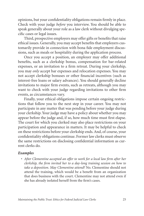opinions, but your confidentiality obligations remain firmly in place. Check with your judge *before* you interview. You should be able to speak generally about your role as a law clerk without divulging specific cases or legal issues.

Third, prospective employers may offer gifts or benefits that raise ethical issues. Generally, you may accept benefits that employers customarily provide in connection with bona fide employment discussions, such as meals or hospitality during the application process.

Once you accept a position, an employer may offer additional benefits, such as a clerkship bonus, compensation for bar-related expenses, or an invitation to a firm retreat. During your clerkship, you may *only* accept bar expenses and relocation expenses. You may not accept clerkship bonuses or other financial incentives (such as interest-free loans or salary advances). You should generally decline invitations to major firm events, such as retreats, although you may want to check with your judge regarding invitations to other firm events, as circumstances vary.

Finally, your ethical obligations impose certain ongoing restrictions that follow you to the next step in your career. You may not participate in any matter that was pending before your judge during your clerkship. Your judge may have a policy about whether you may appear before the judge and, if so, how much time must first elapse. The court for which you clerked may also place restrictions on your participation and appearance in matters. It may be helpful to check on these restrictions before your clerkship ends. And, of course, your confidentiality obligations continue. Former law clerks must observe the same restrictions on disclosing confidential information as current clerks do.

#### *Examples*

• After Clementine accepted an offer to work for a local law firm after her *clerkship, the firm invited her to a day-long training session on how to take a deposition. May Clementine attend?* No. Clementine should not attend the training, which would be a benefit from an organization that does business with the court. Clementine may not attend even if she has already isolated herself from the firm's cases.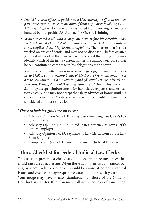- <span id="page-29-0"></span>• *Daniel has been offered a position in a U.S. Attorney's Office in another part of the state. Must he isolate himself from any matter involving a U.S. Attorney's Office?* No. He is only restricted from working on matters handled by the specific U.S. Attorney's Office he is joining.
- *Joshua accepted a job with a large law firm. Before his clerkship ends, the law firm asks for a list of all matters he has worked on. It wants to run a conflicts check. May Joshua comply?* No. The matters that Joshua worked on are confidential and may not be disclosed—before or after Joshua starts work at the firm. When he arrives at the firm, Joshua may identify which of the firm's current matters he cannot work on, so that he can continue to comply with his obligations to the court.
- *Sam accepted an offer with a firm, which offers (a) a salary advance of up to \$7,000; (b) a clerkship bonus of \$50,000; (c) reimbursement for a bar review course and bar exam fees; and (d) reimbursement for relocation costs. Which, if any, of these may Sam accept?* During his clerkship, Sam may accept reimbursement for bar-related expenses and relocation costs. But he may not accept the salary advance or bonus until his clerkship concludes. A salary advance is impermissible because it is considered an interest-free loan.

### *Where to look for guidance on career*

- Advisory Opinion No. 74: Pending Cases Involving Law Clerk's Future Employer
- Advisory Opinion No. 81: United States Attorney as Law Clerk's Future Employer
- Advisory Opinion No. 83: Payments to Law Clerks from Future Law Firm Employers
- Compendium § 2.5-1: Future Employment [Judicial Employees]

# **Ethics Checklist for Federal Judicial Law Clerks**

This section presents a checklist of actions and circumstances that could raise an ethical issue. When these actions or circumstances occur, or seem likely to occur, you should be aware of potential ethical issues and discuss the appropriate course of action with your judge. Your judge may have stricter standards than those of the Code of Conduct or statutes. If so, you must follow the policies of your judge.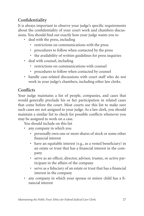## <span id="page-30-0"></span>**Confidentiality**

It is always important to observe your judge's specific requirements about the confidentiality of your court work and chambers discussions. You should find out exactly how your judge wants you to

- deal with the press, including
	- restrictions on communications with the press
	- procedures to follow when contacted by the press
	- the availability of written guidelines for press inquiries
- deal with counsel, including
	- restrictions on communications with counsel
	- procedures to follow when contacted by counsel
- handle case-related discussions with court staff who do not work in your judge's chambers, including other law clerks.

## **Conflicts**

Your judge maintains a list of people, companies, and cases that would generally preclude his or her participation in related cases that come before the court. Most courts use this list to make sure such cases are not assigned to your judge. As a law clerk, you should maintain a similar list to check for possible conflicts whenever you may be assigned to work on a case.

You should include on this list

- any company in which you
	- personally own one or more shares of stock or some other financial interest
	- have an equitable interest (e.g., as a vested beneficiary) in an estate or trust that has a financial interest in the company
	- serve as an officer, director, advisor, trustee, or active participant in the affairs of the company
	- serve as a fiduciary of an estate or trust that has a financial interest in the company
- any company in which your spouse or minor child has a financial interest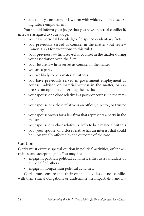<span id="page-31-0"></span>• any agency, company, or law firm with which you are discussing future employment.

You should inform your judge that you have an actual conflict if, in a case assigned to your judge,

- you have personal knowledge of disputed evidentiary facts
- you previously served as counsel in the matter (but review Canon 3F(2) for exceptions to this rule)
- your previous law firm served as counsel in the matter during your association with the firm
- your future law firm serves as counsel in the matter
- you are a party
- you are likely to be a material witness
- you have previously served in government employment as counsel, advisor, or material witness in the matter, or expressed an opinion concerning the merits
- your spouse or a close relative is a party or counsel in the matter
- your spouse or a close relative is an officer, director, or trustee of a party
- your spouse works for a law firm that represents a party in the matter
- your spouse or a close relative is likely to be a material witness
- you, your spouse, or a close relative has an interest that could be substantially affected by the outcome of the case.

## **Caution**

Clerks must exercise special caution in political activities, online activities, and accepting gifts. You may not

- engage in partisan political activities, either as a candidate or on behalf of others
- engage in nonpartisan political activities.

Clerks must ensure that their online activities do not conflict with their ethical obligations or undermine the impartiality and in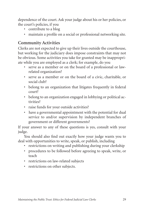<span id="page-32-0"></span>dependence of the court. Ask your judge about his or her policies, or the court's policies, if you

- contribute to a blog
- maintain a profile on a social or professional networking site.

## **Community Activities**

Clerks are not expected to give up their lives outside the courthouse, but working for the judiciary does impose constraints that may not be obvious. Some activities you take for granted may be inappropriate while you are employed as a clerk; for example, do you

- serve as a member or on the board of a professional or lawrelated organization?
- serve as a member or on the board of a civic, charitable, or social club?
- belong to an organization that litigates frequently in federal court?
- belong to an organization engaged in lobbying or political activities?
- raise funds for your outside activities?
- have a governmental appointment with the potential for dual service to and/or supervision by independent branches of government or different governments?

If your answer to any of these questions is yes, consult with your judge.

You should also find out exactly how your judge wants you to deal with opportunities to write, speak, or publish, including

- restrictions on writing and publishing during your clerkship
- procedures to be followed before agreeing to speak, write, or teach
- restrictions on law-related subjects
- restrictions on other subjects.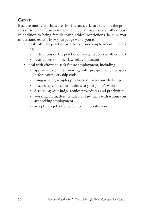## <span id="page-33-0"></span>**Career**

Because most clerkships are short-term, clerks are often in the process of securing future employment. Some may work at other jobs. In addition to being familiar with ethical restrictions, be sure you understand exactly how your judge wants you to

- deal with law practice or other outside employment, including
	- restrictions on the practice of law (pro bono or otherwise)
	- restrictions on other law-related pursuits
- deal with efforts to seek future employment, including
	- applying to or interviewing with prospective employers before your clerkship ends
	- using writing samples produced during your clerkship
	- discussing your contributions to your judge's work
	- discussing your judge's office procedures and proclivities
	- working on matters handled by law firms with whom you are seeking employment
	- accepting a job offer before your clerkship ends.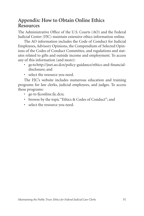## <span id="page-34-0"></span>**Appendix: How to Obtain Online Ethics Resources**

The Administrative Office of the U.S. Courts (AO) and the Federal Judicial Center (FJC) maintain extensive ethics information online.

The AO information includes the Code of Conduct for Judicial Employees, Advisory Opinions, the Compendium of Selected Opinions of the Codes of Conduct Committee, and regulations and statutes related to gifts and outside income and employment. To access any of this information (and more):

- go to http://jnet.ao.dcn/policy-guidance/ethics-and-financialdisclosure; and
- select the resource you need.

The FJC's website includes numerous education and training programs for law clerks, judicial employees, and judges. To access these programs:

- go to fjconline.fjc.dcn;
- browse by the topic "Ethics & Codes of Conduct"; and
- select the resource you need.